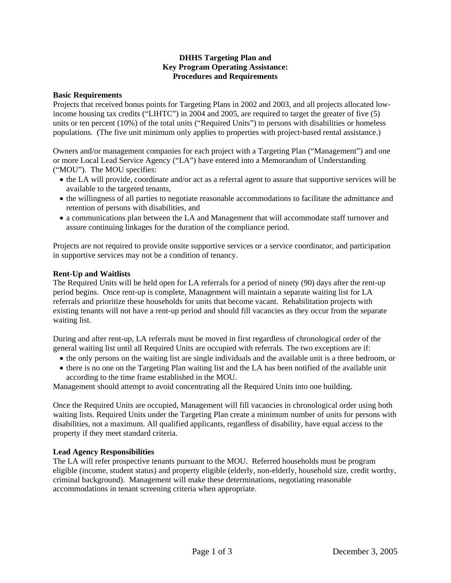# **DHHS Targeting Plan and Key Program Operating Assistance: Procedures and Requirements**

#### **Basic Requirements**

Projects that received bonus points for Targeting Plans in 2002 and 2003, and all projects allocated lowincome housing tax credits ("LIHTC") in 2004 and 2005, are required to target the greater of five (5) units or ten percent (10%) of the total units ("Required Units") to persons with disabilities or homeless populations. (The five unit minimum only applies to properties with project-based rental assistance.)

Owners and/or management companies for each project with a Targeting Plan ("Management") and one or more Local Lead Service Agency ("LA") have entered into a Memorandum of Understanding ("MOU"). The MOU specifies:

- the LA will provide, coordinate and/or act as a referral agent to assure that supportive services will be available to the targeted tenants,
- the willingness of all parties to negotiate reasonable accommodations to facilitate the admittance and retention of persons with disabilities, and
- a communications plan between the LA and Management that will accommodate staff turnover and assure continuing linkages for the duration of the compliance period.

Projects are not required to provide onsite supportive services or a service coordinator, and participation in supportive services may not be a condition of tenancy.

#### **Rent-Up and Waitlists**

The Required Units will be held open for LA referrals for a period of ninety (90) days after the rent-up period begins. Once rent-up is complete, Management will maintain a separate waiting list for LA referrals and prioritize these households for units that become vacant. Rehabilitation projects with existing tenants will not have a rent-up period and should fill vacancies as they occur from the separate waiting list.

During and after rent-up, LA referrals must be moved in first regardless of chronological order of the general waiting list until all Required Units are occupied with referrals. The two exceptions are if:

- the only persons on the waiting list are single individuals and the available unit is a three bedroom, or
- there is no one on the Targeting Plan waiting list and the LA has been notified of the available unit according to the time frame established in the MOU.

Management should attempt to avoid concentrating all the Required Units into one building.

Once the Required Units are occupied, Management will fill vacancies in chronological order using both waiting lists. Required Units under the Targeting Plan create a minimum number of units for persons with disabilities, not a maximum. All qualified applicants, regardless of disability, have equal access to the property if they meet standard criteria.

# **Lead Agency Responsibilities**

The LA will refer prospective tenants pursuant to the MOU. Referred households must be program eligible (income, student status) and property eligible (elderly, non-elderly, household size, credit worthy, criminal background). Management will make these determinations, negotiating reasonable accommodations in tenant screening criteria when appropriate.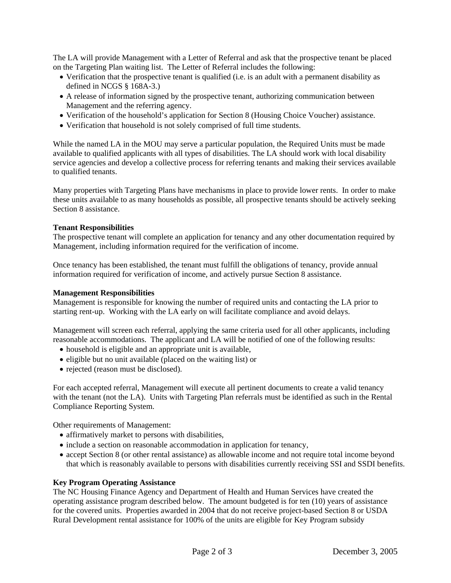The LA will provide Management with a Letter of Referral and ask that the prospective tenant be placed on the Targeting Plan waiting list. The Letter of Referral includes the following:

- Verification that the prospective tenant is qualified (i.e. is an adult with a permanent disability as defined in NCGS § 168A-3.)
- A release of information signed by the prospective tenant, authorizing communication between Management and the referring agency.
- Verification of the household's application for Section 8 (Housing Choice Voucher) assistance.
- Verification that household is not solely comprised of full time students.

While the named LA in the MOU may serve a particular population, the Required Units must be made available to qualified applicants with all types of disabilities. The LA should work with local disability service agencies and develop a collective process for referring tenants and making their services available to qualified tenants.

Many properties with Targeting Plans have mechanisms in place to provide lower rents. In order to make these units available to as many households as possible, all prospective tenants should be actively seeking Section 8 assistance.

# **Tenant Responsibilities**

The prospective tenant will complete an application for tenancy and any other documentation required by Management, including information required for the verification of income.

Once tenancy has been established, the tenant must fulfill the obligations of tenancy, provide annual information required for verification of income, and actively pursue Section 8 assistance.

#### **Management Responsibilities**

Management is responsible for knowing the number of required units and contacting the LA prior to starting rent-up. Working with the LA early on will facilitate compliance and avoid delays.

Management will screen each referral, applying the same criteria used for all other applicants, including reasonable accommodations. The applicant and LA will be notified of one of the following results:

- household is eligible and an appropriate unit is available,
- eligible but no unit available (placed on the waiting list) or
- rejected (reason must be disclosed).

For each accepted referral, Management will execute all pertinent documents to create a valid tenancy with the tenant (not the LA). Units with Targeting Plan referrals must be identified as such in the Rental Compliance Reporting System.

Other requirements of Management:

- affirmatively market to persons with disabilities,
- include a section on reasonable accommodation in application for tenancy,
- accept Section 8 (or other rental assistance) as allowable income and not require total income beyond that which is reasonably available to persons with disabilities currently receiving SSI and SSDI benefits.

# **Key Program Operating Assistance**

The NC Housing Finance Agency and Department of Health and Human Services have created the operating assistance program described below. The amount budgeted is for ten (10) years of assistance for the covered units. Properties awarded in 2004 that do not receive project-based Section 8 or USDA Rural Development rental assistance for 100% of the units are eligible for Key Program subsidy